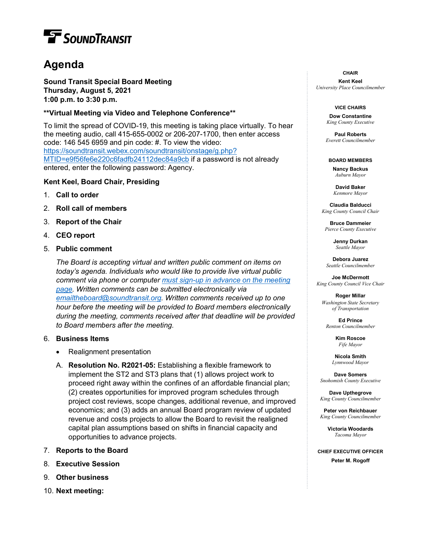# **T** SOUNDTRANSIT

# **Agenda**

**Sound Transit Special Board Meeting Thursday, August 5, 2021 1:00 p.m. to 3:30 p.m.**

## **\*\*Virtual Meeting via Video and Telephone Conference\*\***

To limit the spread of COVID-19, this meeting is taking place virtually. To hear the meeting audio, call 415-655-0002 or 206-207-1700, then enter access code: 146 545 6959 and pin code: #. To view the video: [https://soundtransit.webex.com/soundtransit/onstage/g.php?](https://soundtransit.webex.com/soundtransit/onstage/g.php?MTID=e9f56fe6e220c6fadfb24112dec84a9cb) [MTID=e9f56fe6e220c6fadfb24112dec84a9cb](https://soundtransit.webex.com/soundtransit/onstage/g.php?MTID=e9f56fe6e220c6fadfb24112dec84a9cb) if a password is not already entered, enter the following password: Agency.

### **Kent Keel, Board Chair, Presiding**

- 1. **Call to order**
- 2. **Roll call of members**
- 3. **Report of the Chair**
- 4. **CEO report**
- 5. **Public comment**

*The Board is accepting virtual and written public comment on items on today's agenda. Individuals who would like to provide live virtual public comment via phone or computer [must sign-up in advance on the meeting](https://www.soundtransit.org/get-to-know-us/news-events/calendar/board-directors-special-meeting-2021-08-05)  [page.](https://www.soundtransit.org/get-to-know-us/news-events/calendar/board-directors-special-meeting-2021-08-05) Written comments can be submitted electronically via [emailtheboard@soundtransit.org.](mailto:emailtheboard@soundtransit.org) Written comments received up to one hour before the meeting will be provided to Board members electronically during the meeting, comments received after that deadline will be provided to Board members after the meeting.*

#### 6. **Business Items**

- Realignment presentation
- A. **Resolution No. R2021-05:** Establishing a flexible framework to implement the ST2 and ST3 plans that (1) allows project work to proceed right away within the confines of an affordable financial plan; (2) creates opportunities for improved program schedules through project cost reviews, scope changes, additional revenue, and improved economics; and (3) adds an annual Board program review of updated revenue and costs projects to allow the Board to revisit the realigned capital plan assumptions based on shifts in financial capacity and opportunities to advance projects.
- 7. **Reports to the Board**
- 8. **Executive Session**
- 9. **Other business**
- 10. **Next meeting:**

#### **CHAIR**

**Kent Keel** *University Place Councilmember*

#### **VICE CHAIRS**

**Dow Constantine** *King County Executive*

**Paul Roberts** *Everett Councilmember*

**BOARD MEMBERS Nancy Backus** *Auburn Mayor*

**David Baker**

*Kenmore Mayor*

**Claudia Balducci**  *King County Council Chair*

**Bruce Dammeier** *Pierce County Executive*

> **Jenny Durkan** *Seattle Mayor*

**Debora Juarez** *Seattle Councilmember*

**Joe McDermott** *King County Council Vice Chair*

**Roger Millar** *Washington State Secretary of Transportation*

**Ed Prince** *Renton Councilmember*

> **Kim Roscoe** *Fife Mayor*

**Nicola Smith** *Lynnwood Mayor*

**Dave Somers** *Snohomish County Executive*

**Dave Upthegrove** *King County Councilmember*

**Peter von Reichbauer** *King County Councilmember*

> **Victoria Woodards** *Tacoma Mayor*

**CHIEF EXECUTIVE OFFICER Peter M. Rogoff**